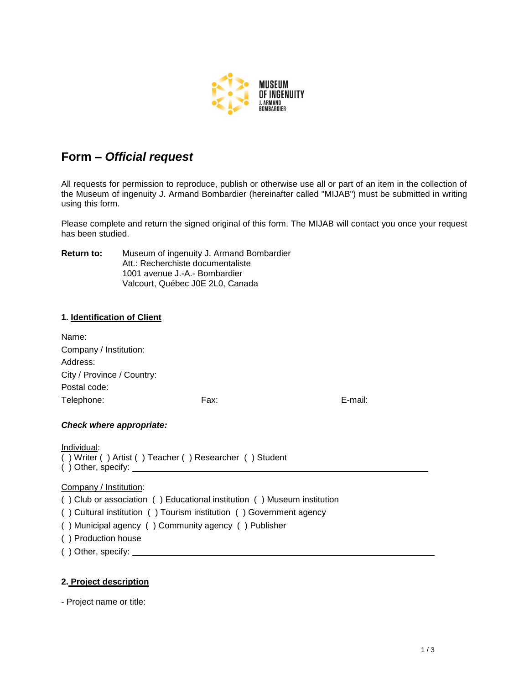

# **Form –** *Official request*

All requests for permission to reproduce, publish or otherwise use all or part of an item in the collection of the Museum of ingenuity J. Armand Bombardier (hereinafter called "MIJAB") must be submitted in writing using this form.

Please complete and return the signed original of this form. The MIJAB will contact you once your request has been studied.

**Return to:** Museum of ingenuity J. Armand Bombardier Att.: Recherchiste documentaliste 1001 avenue J.-A.- Bombardier Valcourt, Québec J0E 2L0, Canada

### **1. Identification of Client**

| Name:                      |      |         |
|----------------------------|------|---------|
| Company / Institution:     |      |         |
| Address:                   |      |         |
| City / Province / Country: |      |         |
| Postal code:               |      |         |
| Telephone:                 | Fax: | E-mail: |
|                            |      |         |

### *Check where appropriate:*

| Individual:        |                                                         |  |
|--------------------|---------------------------------------------------------|--|
|                    | () Writer () Artist () Teacher () Researcher () Student |  |
| () Other, specify: |                                                         |  |

#### Company / Institution:

( ) Club or association ( ) Educational institution ( ) Museum institution

( ) Cultural institution ( ) Tourism institution ( ) Government agency

( ) Municipal agency ( ) Community agency ( ) Publisher

- ( ) Production house
- ( ) Other, specify:

### **2. Project description**

- Project name or title: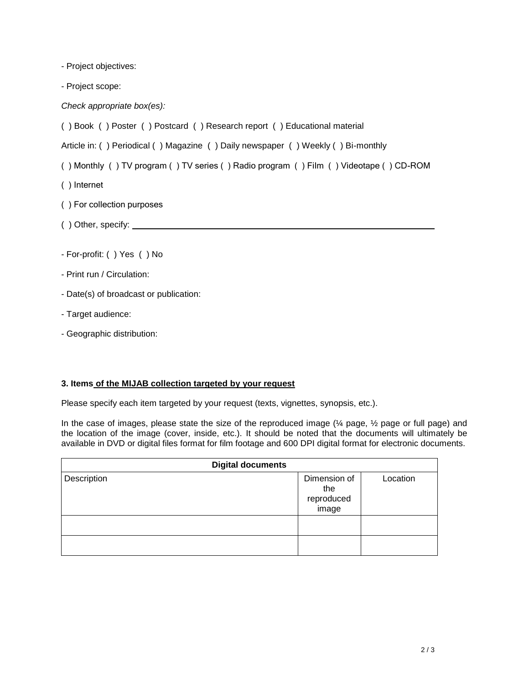- Project objectives:

- Project scope:

*Check appropriate box(es):* 

( ) Book ( ) Poster ( ) Postcard ( ) Research report ( ) Educational material

Article in: ( ) Periodical ( ) Magazine ( ) Daily newspaper ( ) Weekly ( ) Bi-monthly

( ) Monthly ( ) TV program ( ) TV series ( ) Radio program ( ) Film ( ) Videotape ( ) CD-ROM

- ( ) Internet
- ( ) For collection purposes
- ( ) Other, specify:
- For-profit: ( ) Yes ( ) No
- Print run / Circulation:
- Date(s) of broadcast or publication:
- Target audience:
- Geographic distribution:

### **3. Items of the MIJAB collection targeted by your request**

Please specify each item targeted by your request (texts, vignettes, synopsis, etc.).

In the case of images, please state the size of the reproduced image (¼ page, ½ page or full page) and the location of the image (cover, inside, etc.). It should be noted that the documents will ultimately be available in DVD or digital files format for film footage and 600 DPI digital format for electronic documents.

| <b>Digital documents</b> |                                            |          |  |  |
|--------------------------|--------------------------------------------|----------|--|--|
| Description              | Dimension of<br>the<br>reproduced<br>image | Location |  |  |
|                          |                                            |          |  |  |
|                          |                                            |          |  |  |